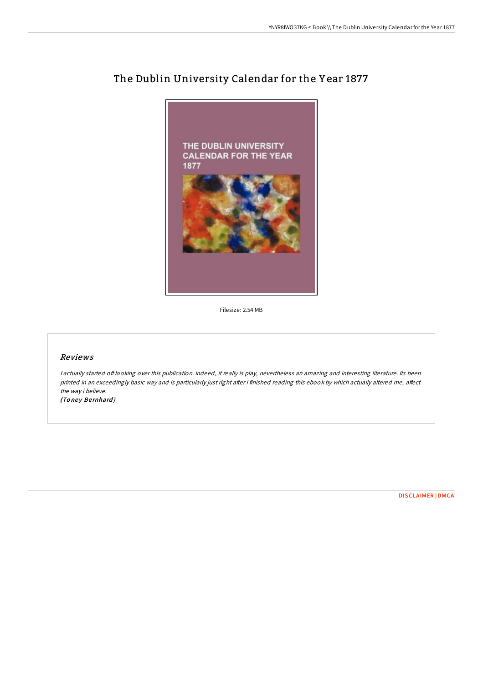

## The Dublin University Calendar for the Y ear 1877

Filesize: 2.54 MB

## Reviews

<sup>I</sup> actually started of looking over this publication. Indeed, it really is play, nevertheless an amazing and interesting literature. Its been printed in an exceedingly basic way and is particularly just right after i finished reading this ebook by which actually altered me, affect the way i believe. (Toney Bernhard)

[DISCLAIMER](http://almighty24.tech/disclaimer.html) | [DMCA](http://almighty24.tech/dmca.html)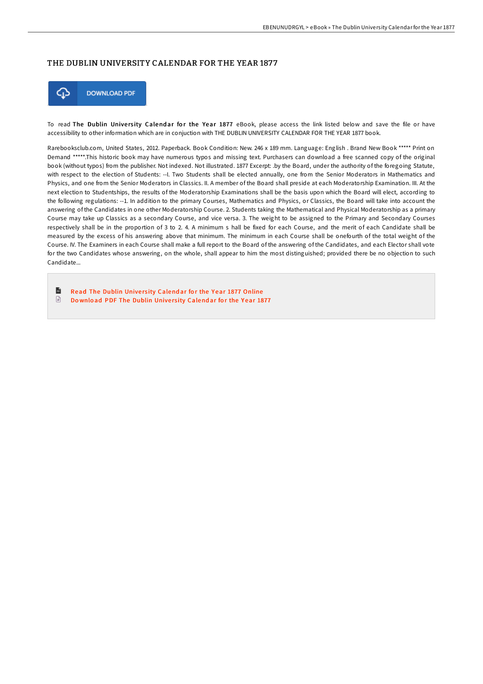## THE DUBLIN UNIVERSITY CALENDAR FOR THE YEAR 1877



To read The Dublin University Calendar for the Year 1877 eBook, please access the link listed below and save the file or have accessibility to other information which are in conjuction with THE DUBLIN UNIVERSITY CALENDAR FOR THE YEAR 1877 book.

Rarebooksclub.com, United States, 2012. Paperback. Book Condition: New. 246 x 189 mm. Language: English . Brand New Book \*\*\*\*\* Print on Demand \*\*\*\*\*.This historic book may have numerous typos and missing text. Purchasers can download a free scanned copy of the original book (without typos) from the publisher. Not indexed. Not illustrated. 1877 Excerpt: .by the Board, under the authority of the foregoing Statute, with respect to the election of Students: --I. Two Students shall be elected annually, one from the Senior Moderators in Mathematics and Physics, and one from the Senior Moderators in Classics. II. A member of the Board shall preside at each Moderatorship Examination. III. At the next election to Studentships, the results of the Moderatorship Examinations shall be the basis upon which the Board will elect, according to the following regulations: --1. In addition to the primary Courses, Mathematics and Physics, or Classics, the Board will take into account the answering of the Candidates in one other Moderatorship Course. 2. Students taking the Mathematical and Physical Moderatorship as a primary Course may take up Classics as a secondary Course, and vice versa. 3. The weight to be assigned to the Primary and Secondary Courses respectively shall be in the proportion of 3 to 2. 4. A minimum s hall be fixed for each Course, and the merit of each Candidate shall be measured by the excess of his answering above that minimum. The minimum in each Course shall be onefourth of the total weight of the Course. IV. The Examiners in each Course shall make a full report to the Board of the answering of the Candidates, and each Elector shall vote for the two Candidates whose answering, on the whole, shall appear to him the most distinguished; provided there be no objection to such Candidate...

 $\blacksquare$ Read The Dublin University [Calend](http://almighty24.tech/the-dublin-university-calendar-for-the-year-1877.html)ar for the Year 1877 Online  $\ensuremath{\mathop{\boxplus}}$ Do wnload PDF The Dublin University [Calend](http://almighty24.tech/the-dublin-university-calendar-for-the-year-1877.html)ar for the Year 1877